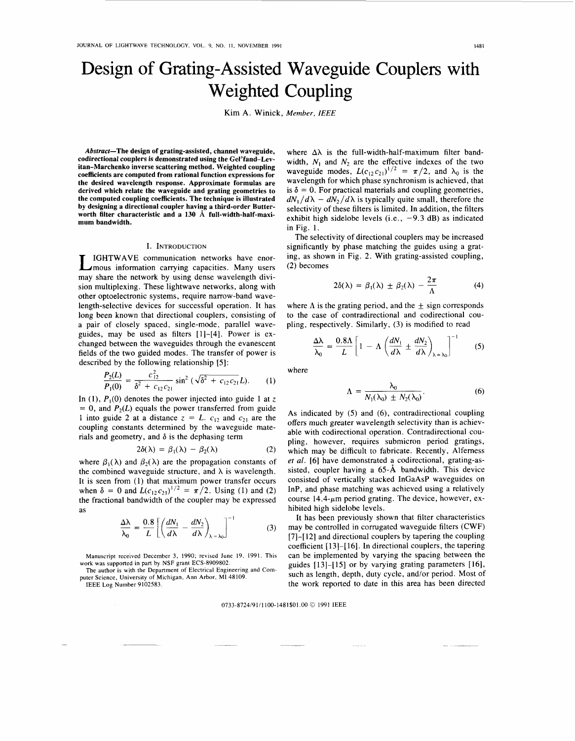# Design of Grating-Assisted Waveguide Couplers with Weighted Coupling

Kim A. Winick, *Member, IEEE* 

**Abstract-The design of grating-assisted, channel waveguide, codirectional couplers is demonstrated using the Gel'fand-Levitan-Marchenko inverse scattering method. Weighted coupling coefficients are computed from rational function expressions for the desired wavelength response. Approximate formulas are derived which relate the waveguide and grating geometries to the computed coupling coefficients. The technique is illustrated by designing a directional coupler haviag a third-order Butter**worth filter characteristic and a 130 Å full-width-half-maxi**mum bandwidth.** 

#### I. INTRODUCTION

IGHTWAVE communication networks have enor-<br>Inputs information carrying capacities. Many users may share the network by using dense wavelength division multiplexing. These lightwave networks, along with other optoelectronic systems, require narrow-band wavelength-selective devices for successful operation. It has long been known that directional couplers, consisting of a pair of closely spaced, single-mode, parallel waveguides, may be used as filters [1]-[4]. Power is exchanged between the waveguides through the evanescent fields of the two guided modes. The transfer of power is described by the following relationship [5]:

$$
\frac{P_2(L)}{P_1(0)} = \frac{c_{12}^2}{\delta^2 + c_{12}c_{21}} \sin^2(\sqrt{\delta^2 + c_{12}c_{21}}L). \quad (1)
$$

In (1),  $P_1(0)$  denotes the power injected into guide 1 at *z* = 0, and  $P_2(L)$  equals the power transferred from guide **1** into guide 2 at a distance  $z = L$ .  $c_{12}$  and  $c_{21}$  are the coupling constants determined by the waveguide materials and geometry, and  $\delta$  is the dephasing term<br>  $2\delta(\lambda) = \beta_1(\lambda) - \beta_2(\lambda)$ 

$$
2\delta(\lambda) = \beta_1(\lambda) - \beta_2(\lambda) \tag{2}
$$

where  $\beta_1(\lambda)$  and  $\beta_2(\lambda)$  are the propagation constants of the combined waveguide structure, and  $\lambda$  is wavelength. It is seen from (1) that maximum power transfer occurs when  $\delta = 0$  and  $L(c_{12}c_{21})^{1/2} = \pi/2$ . Using (1) and (2) the fractional bandwidth of the coupler may be expressed as

$$
\frac{\Delta\lambda}{\lambda_0} = \frac{0.8}{L} \left[ \left( \frac{dN_1}{d\lambda} - \frac{dN_2}{d\lambda} \right)_{\lambda = \lambda_0} \right]^{-1} \tag{3}
$$

Manuscript received December **3,** 1990; revised June 19, 1991. This work was supported in part by NSF grant ECS-8909802.

The author is with the Department **of** Electrical Engineering and Computer Science, University **of** Michigan, Ann Arbor, MI 48109.

IEEE **Log** Number 9 102583.

where  $\Delta\lambda$  is the full-width-half-maximum filter bandwidth,  $N_1$  and  $N_2$  are the effective indexes of the two waveguide modes,  $L(c_{12}c_{21})^{1/2} = \pi/2$ , and  $\lambda_0$  is the wavelength for which phase synchronism is achieved, that is  $\delta = 0$ . For practical materials and coupling geometries,  $dN_1/d\lambda - dN_2/d\lambda$  is typically quite small, therefore the selectivity of these filters is limited. In addition, the filters exhibit high sidelobe levels (i.e.,  $-9.3$  dB) as indicated in [Fig. 1.](#page-1-0)

The selectivity of directional couplers may be increased significantly by phase matching the guides using a grating, as shown in [Fig. 2.](#page-1-0) With grating-assisted coupling, (2) becomes

$$
2\delta(\lambda) = \beta_1(\lambda) \pm \beta_2(\lambda) - \frac{2\pi}{\Lambda} \tag{4}
$$

where  $\Lambda$  is the grating period, and the  $\pm$  sign corresponds to the case of contradirectional and codirectional coupling, respectively. Similarly, (3) is modified to read

$$
\frac{\Delta\lambda}{\lambda_0} = \frac{0.8\Lambda}{L} \left[ 1 - \Lambda \left( \frac{dN_1}{d\lambda} \pm \frac{dN_2}{d\lambda} \right)_{\lambda = \lambda_0} \right]^{-1} \tag{5}
$$

where

$$
\Lambda = \frac{\lambda_0}{N_1(\lambda_0) \pm N_2(\lambda_0)}.
$$
\n(6)

As indicated by *(5)* and (6), contradirectional coupling offers much greater wavelength selectivity than is achievable with codirectional operation. Contradirectional coupling, however, requires submicron period gratings, which may be difficult to fabricate. Recently, Alfemess *et al.* [6] have demonstrated a codirectional, grating-assisted, coupler having a 65-A bandwidth. This device consisted of vertically stacked InGaAsP waveguides on InP, and phase matching was achieved using a relatively course  $14.4$ - $\mu$ m period grating. The device, however, exhibited high sidelobe levels.

It has been previously shown that filter characteristics may be controlled in corrugated waveguide filters (CWF) [7]-[ 121 and directional couplers by tapering the coupling coefficient [13]-[16]. In directional couplers, the tapering can be implemented by varying the spacing between the guides [13]-[15] or by varying grating parameters [16], such as length, depth, duty cycle, and/or period. Most of the work reported to date in this area has been directed

#### 0733-872419111100-1481\$01.00 *0* 1991 IEEE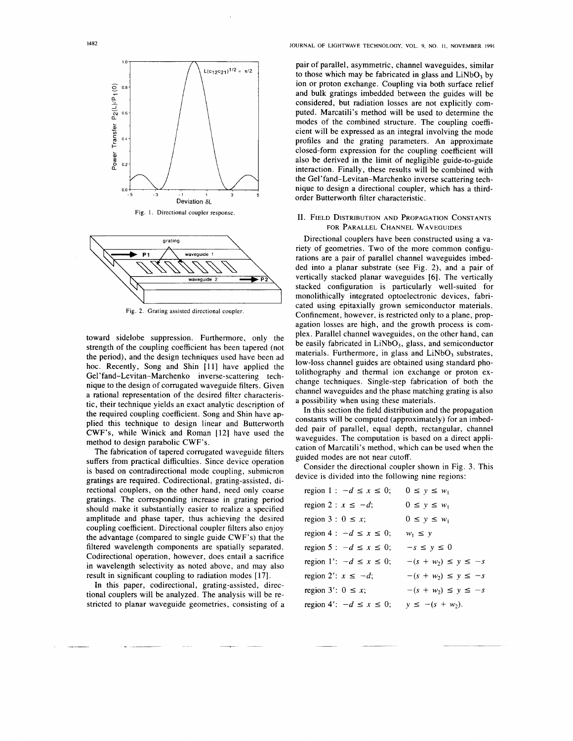

Fig. 1. Directional coupler response.



Fig. 2. Grating assisted directional coupler.

toward sidelobe suppression. Furthermore, only the strength of the coupling coefficient has been tapered (not the period), and the design techniques used have been ad hoc. Recently, Song and Shin [Ill have applied the Gel'fand-Levitan-Marchenko inverse-scattering technique to the design of corrugated waveguide filters. Given a rational representation of the desired filter characteristic, their technique yields an exact analytic description of the required coupling coefficient. Song and Shin have applied this technique to design linear and Butterworth CWF's, while Winick and Roman [12] have used the method to design parabolic CWF's.

The fabrication of tapered corrugated waveguide filters suffers from practical difficulties. Since device operation is based on contradirectional mode coupling, submicron gratings are required. Codirectional, grating-assisted, directional couplers, on the other hand, need only coarse gratings. The corresponding increase in grating period should make it substantially easier to realize a specified amplitude and phase taper, thus achieving the desired coupling coefficient. Directional coupler filters also enjoy the advantage (compared to single guide CWF's) that the filtered wavelength components are spatially separated. Codirectional operation, however, does entail a sacrifice in wavelength selectivity as noted above, and may also result in significant coupling to radiation modes [17].

In this paper, codirectional, grating-assisted, directional couplers will be analyzed. The analysis will be restricted to planar waveguide geometries, consisting of a

<span id="page-1-0"></span>**<sup>1482</sup>**IOURNAL OF LIGHTWAVE TECHNOLOGY, VOL. *9.* NO. **11,** NOVEMBER **1991** 

pair of parallel, asymmetric, channel waveguides, similar to those which may be fabricated in glass and  $LiNbO<sub>2</sub>$  by ion or proton exchange. Coupling via both surface relief and bulk gratings imbedded between the guides will be considered, but radiation losses are not explicitly computed. Marcatili's method will be used to determine the modes of the combined structure. The coupling coefficient will be expressed as an integral involving the mode profiles and the grating parameters. An approximate closed-form expression for the coupling coefficient will also be derived in the limit of negligible guide-to-guide interaction. Finally, these results will be combined with the Gel'fand-Levitan-Marchenko inverse scattering technique to design a directional coupler, which has a thirdorder Butterworth filter characteristic.

# 11. FIELD DISTRIBUTION AND PROPAGATION CONSTANTS FOR PARALLEL CHANNEL WAVEGUIDES

Directional couplers have been constructed using a variety of geometries. Two of the more common configurations are a pair of parallel channel waveguides imbedded into a planar substrate (see Fig. 2), and a pair of vertically stacked planar waveguides [6]. The vertically stacked configuration is particularly well-suited for monolithically integrated optoelectronic devices, fabricated using epitaxially grown semiconductor materials. Confinement, however, is restricted only to a plane, propagation losses are high, and the growth process is complex. Parallel channel waveguides, on the other hand, can be easily fabricated in  $LiNbO<sub>3</sub>$ , glass, and semiconductor materials. Furthermore, in glass and  $LiNbO<sub>3</sub>$  substrates, low-loss channel guides are obtained using standard photolithography and thermal ion exchange or proton exchange techniques. Single-step fabrication of both the channel waveguides and the phase matching grating is also a possibility when using these materials.

In this section the field distribution and the propagation constants will be computed (approximately) for an imbedded pair of parallel, equal depth, rectangular, channel waveguides. The computation is based on a direct application of Marcatili's method, which can be used when the guided modes are not near cutoff.

Consider the directional coupler shown in Fig. 3. This device is divided into the following nine regions: Consider the directional coupler shown in vice is divided into the following nine region 1 :  $-d \le x \le 0$ ;  $0 \le y \le w_1$ 

| region 1 : $-d \le x \le 0$ ; | $0 \leq y \leq w_1$         |
|-------------------------------|-----------------------------|
| region 2 : $x \le -d$ ;       | $0 \leq y \leq w_1$         |
| region 3 : $0 \leq x$ ;       | $0 \leq y \leq w_1$         |
| region 4 : $-d \le x \le 0$ ; | $w_1 \leq y$                |
| region 5 : $-d \le x \le 0$ ; | $-s \leq y \leq 0$          |
| region 1': $-d \le x \le 0$ ; | $-(s + w_2) \leq y \leq -s$ |
| region 2': $x \le -d$ ;       | $-(s + w_2) \leq y \leq -s$ |
| region $3'$ : $0 \leq x$ ;    | $-(s + w_2) \leq y \leq -s$ |
| region 4': $-d \le x \le 0$ ; | $y \leq - (s + w_2).$       |
|                               |                             |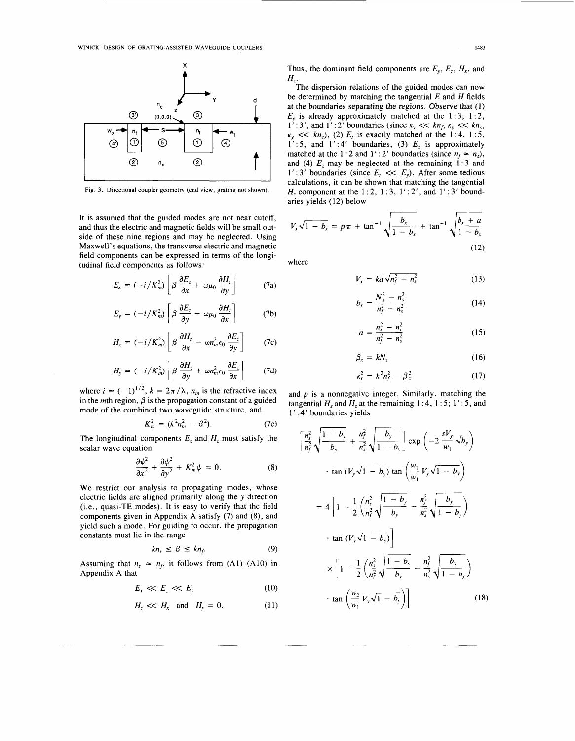

Fig. 3. Directional coupler geometry (end view, grating not shown).

It is assumed that the guided modes are not near cutoff, and thus the electric and magnetic fields will be small outside of these nine regions and may be neglected. Using Maxwell's equations, the transverse electric and magnetic field components can be expressed in terms of the longitudinal field components as follows:

$$
E_x = (-i/K_m^2) \left[ \beta \frac{\partial E_z}{\partial x} + \omega \mu_0 \frac{\partial H_z}{\partial y} \right]
$$
 (7a)

$$
E_y = (-i/K_m^2) \left[ \beta \frac{\partial E_z}{\partial y} - \omega \mu_0 \frac{\partial H_z}{\partial x} \right]
$$
 (7b)

$$
H_x = (-i/K_m^2) \left[ \beta \frac{\partial H_z}{\partial x} - \omega n_m^2 \epsilon_0 \frac{\partial E_z}{\partial y} \right]
$$
 (7c)

$$
H_{y} = (-i/K_{m}^{2}) \left[ \beta \frac{\partial H_{z}}{\partial y} + \omega n_{m}^{2} \epsilon_{0} \frac{\partial E_{z}}{\partial x} \right]
$$
 (7d)

where  $i = (-1)^{1/2}$ ,  $k = 2\pi/\lambda$ ,  $n_m$  is the refractive index in the mth region,  $\beta$  is the propagation constant of a guided mode of the combined two waveguide structure, and

$$
K_m^2 = (k^2 n_m^2 - \beta^2). \tag{7e}
$$

The longitudinal components  $E_z$  and  $H_z$  must satisfy the scalar wave equation

$$
\frac{\partial \psi^2}{\partial x^2} + \frac{\partial \psi^2}{\partial y^2} + K_m^2 \psi = 0.
$$
 (8)

We restrict our analysis to propagating modes, whose<br>
electric fields are aligned primarily along the y-direction<br>
(i.e., quasi-TE modes). It is easy to verify that the field<br>
components given in Appendix A satisfy (7) an electric fields are aligned primarily along the y-direction  $(i.e., quasi-TE~modes)$ . It is easy to verify that the field yield such a mode. For guiding to occur, the propagation constants must lie in the range

$$
kn_s \leq \beta \leq kn_f. \tag{9}
$$

Assuming that  $n_s \approx n_f$ , it follows from (A1)-(A10) in Appendix A that

$$
E_x \ll E_z \ll E_y \tag{10}
$$

$$
H_z \ll H_x \quad \text{and} \quad H_y = 0. \tag{11}
$$

Thus, the dominant field components are  $E_y$ ,  $E_z$ ,  $H_x$ , and

 $H_z$ .<br>The dispersion relations of the guided modes can now be determined by matching the tangential  $E$  and  $H$  fields at the boundaries separating the regions. Observe that  $(1)$  $E_y$  is already approximately matched at the 1:3, 1:2, 1':3', and 1':2' boundaries (since  $\kappa_y \ll k_n$ ,  $\kappa_y \ll k_n$ ,  $\kappa_v \ll \kappa_n$ , (2)  $E_z$  is exactly matched at the 1:4, 1:5,  $1': 5$ , and  $1': 4'$  boundaries, (3)  $E<sub>z</sub>$  is approximately matched at the 1:2 and 1':2' boundaries (since  $n_f \approx n_s$ ), and  $(4)$   $E$ , may be neglected at the remaining 1:3 and 1': 3' boundaries (since  $E_z \ll E_y$ ). After some tedious calculations, it can be shown that matching the tangential  $H<sub>z</sub>$  component at the 1:2, 1:3, 1':2', and 1':3' boundaries yields (12) below

$$
V_x\sqrt{1-b_x} = p\pi + \tan^{-1}\sqrt{\frac{b_x}{1-b_x}} + \tan^{-1}\sqrt{\frac{b_x+a}{1-b_x}}
$$
\n(12)

where

$$
V_x = kd\sqrt{n_f^2 - n_s^2} \tag{13}
$$

$$
b_x = \frac{N_x^2 - n_s^2}{n_f^2 - n_s^2}
$$
 (14)

$$
a = \frac{n_s^2 - n_c^2}{n_f^2 - n_s^2} \tag{15}
$$

$$
\beta_x = k N_x \tag{16}
$$

$$
\kappa_x^2 = k^2 n_f^2 - \beta_x^2 \tag{17}
$$

and  $p$  is a nonnegative integer. Similarly, matching the tangential  $H_x$  and  $H_z$  at the remaining 1:4, 1:5; 1':5, and 1':4' boundaries yields

1. 
$$
\lim_{m \to \infty} E_z
$$
 and  $H_z$  must satisfy the

\n
$$
\left[ \frac{n_s^2}{n_f^2} \sqrt{\frac{1 - b_y}{b_y}} + \frac{n_f^2}{n_s^2} \sqrt{\frac{1 - b_y}{1 - b_y}} \right] \exp \left( -2 \frac{sV_y}{w_1} \sqrt{b_y} \right)
$$
\n
$$
+ \frac{\partial \psi^2}{\partial y^2} + K_m^2 \psi = 0.
$$
\n(8)

\n1. 
$$
\lim (V_y \sqrt{1 - b_y}) \tan \left( \frac{w_2}{w_1} V_y \sqrt{1 - b_y} \right)
$$

\n1. 
$$
\lim (V_y \sqrt{1 - b_y}) \tan \left( \frac{w_2}{w_1} V_y \sqrt{1 - b_y} \right)
$$

\n1. 
$$
\lim (V_y \sqrt{1 - b_y}) \tan \left( \frac{w_2}{w_1} V_y \sqrt{1 - b_y} \right)
$$

\n1. 
$$
\lim (V_y \sqrt{1 - b_y}) \right]
$$

\n1. 
$$
\lim (V_y \sqrt{1 - b_y}) \right]
$$

\n1. 
$$
\lim (V_y \sqrt{1 - b_y}) \right]
$$

\n1. 
$$
\lim (V_y \sqrt{1 - b_y}) \right]
$$

\n2. 
$$
E_z \ll E_y
$$

\n3. 
$$
\lim (A1) - (A10) \sin \left( \frac{w_2}{w_1} \sqrt{\frac{1 - b_y}{b_y}} - \frac{n_f^2}{n_s^2} \sqrt{\frac{b_y}{1 - b_y}} \right)
$$

\n4. 
$$
E_z \ll E_y
$$

\n5. 
$$
E_z \ll E_y
$$

\n6. 
$$
\lim (A1) - (A10) \sin \left( \frac{w_2}{w_1} V_y \sqrt{1 - b_y} \right)
$$

\n7. 
$$
E_z \ll E_y
$$

\n8. 
$$
\lim (A1) - (A10) \sin \left( \frac{w_2}{w_1} V_y \sqrt{1 - b_y} \right)
$$

\n1. 
$$
\lim \left( \frac{w_2
$$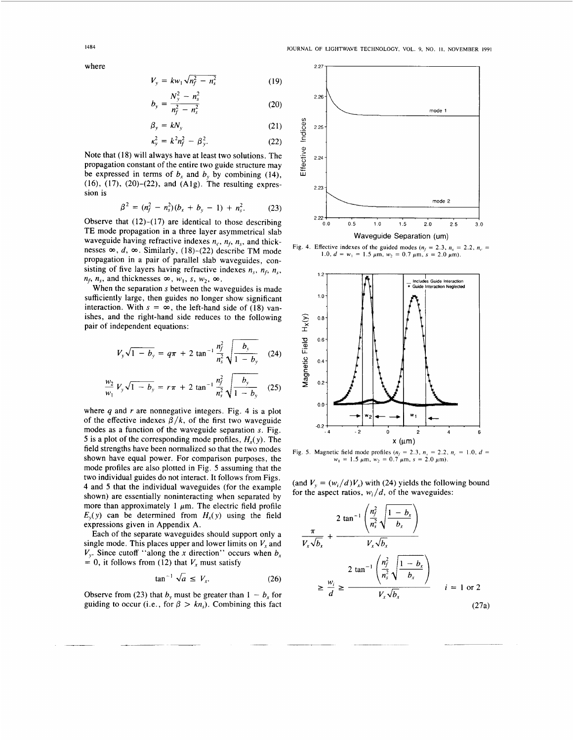where

$$
V_{y} = kw_{1}\sqrt{n_{f}^{2} - n_{s}^{2}}
$$
 (19)

$$
b_{y} = \frac{N_{y}^{2} - n_{s}^{2}}{n_{f}^{2} - n_{s}^{2}}
$$
 (20)

$$
\beta_{\nu} = k N_{\nu} \tag{21}
$$

$$
\kappa_{\nu}^2 = k^2 n_f^2 - \beta_{\nu}^2. \tag{22}
$$

Note that 18) will always have at least two solutions. The propagation constant of the entire two guide structure may be expressed in terms of  $b_x$  and  $b_y$  by combining (14),  $(16)$ ,  $(17)$ ,  $(20)$ – $(22)$ , and  $(A1g)$ . The resulting expression is

$$
\beta^2 = (n_f^2 - n_s^2)(b_x + b_y - 1) + n_s^2. \qquad (23)
$$

Observe that  $(12)-(17)$  are identical to those describing TE mode propagation in a three layer asymmetrical slab waveguide having refractive indexes  $n_c$ ,  $n_f$ ,  $n_s$ , and thicknesses  $\infty$ , *d*,  $\infty$ . Similarly, (18)-(22) describe TM mode propagation in a pair of parallel slab waveguides, consisting of five layers having refractive indexes  $n_s$ ,  $n_f$ ,  $n_s$ ,  $n_f$ ,  $n_s$ , and thicknesses  $\infty$ ,  $w_1$ ,  $s$ ,  $w_2$ ,  $\infty$ .

When the separation **s** between the waveguides is made sufficiently large, then guides no longer show significant interaction. With  $s = \infty$ , the left-hand side of (18) vanishes, and the right-hand side reduces to the following pair of independent equations: r show significant<br>
side of (18) van-<br>
to the following<br>  $\frac{5}{2}$ <br>  $\frac{7}{2}$ <br>  $\frac{b_y}{1-b}$  (24)<br>  $\frac{2}{2}$ <br>  $\frac{2}{2}$ <br>  $\frac{1}{2}$ <br>  $\frac{1}{2}$ <br>  $\frac{1}{2}$ <br>  $\frac{1}{2}$ <br>  $\frac{1}{2}$ <br>  $\frac{1}{2}$ <br>  $\frac{1}{2}$ <br>  $\frac{1}{2}$ <br>  $\frac{1}{2}$ <br>  $\frac$ 

$$
V_{y}\sqrt{1-b_{y}} = q\pi + 2 \tan^{-1} \frac{n_{f}^{2}}{n_{s}^{2}} \sqrt{\frac{b_{y}}{1-b_{y}}} \quad (24)
$$

$$
\frac{w_2}{w_1} V_y \sqrt{1 - b_y} = r \pi + 2 \tan^{-1} \frac{n_f^2}{n_s^2} \sqrt{\frac{b_y}{1 - b_y}}
$$
 (25)

where  $q$  and  $r$  are nonnegative integers. Fig. 4 is a plot of the effective indexes  $\beta/k$ , of the first two waveguide modes as a function of the waveguide separation **s.** Fig. 5 is a plot of the corresponding mode profiles,  $H<sub>x</sub>(y)$ . The field strengths have been normalized so that the two modes shown have equal power. For comparison purposes, the mode profiles are also plotted in Fig. 5 assuming that the two individual guides do not interact. It follows from Figs. **4** and 5 that the individual waveguides (for the example shown) are essentially noninteracting when separated by more than approximately 1  $\mu$ m. The electric field profile  $E_y(y)$  can be determined from  $H_y(y)$  using the field expressions given in Appendix A.

Each of the separate waveguides should support only a single mode. This places upper and lower limits on  $V<sub>x</sub>$  and  $V_y$ . Since cutoff "along the *x* direction" occurs when  $b_x$  $\frac{1}{2}$ , it follows from (12) that  $V_x$  must satisfy<br>  $\tan^{-1} \sqrt{a} \le V_x.$  (26)

$$
\tan^{-1} \sqrt{a} \le V_r. \tag{26}
$$

Observe from (23) that  $b_y$  must be greater than  $1 - b_x$  for guiding to occur (i.e., for  $\beta > kn_s$ ). Combining this fact



Fig. 4. Effective indexes of the guided modes  $(n_f = 2.3, n_s = 2.2, n_c =$ 1.0,  $d = w_1 = 1.5 \mu \text{m}, w_2 = 0.7 \mu \text{m}, s = 2.0 \mu \text{m}.$ 



Fig. 5. Magnetic field mode profiles  $(n_f = 2.3, n_s = 2.2, n_c = 1.0, d =$  $w_1 = 1.5 \mu \text{m}, w_2 = 0.7 \mu \text{m}, s = 2.0 \mu \text{m}.$ 

(and  $V_y = (w_i/d)V_x$ ) with (24) yields the following bound for the aspect ratios,  $w_i/d$ , of the waveguides:

$$
\frac{\pi}{V_x \sqrt{b_x}} + \frac{2 \tan^{-1} \left( \frac{n_f^2}{n_s^2} \sqrt{\frac{1 - b_x}{b_x}} \right)}{V_x \sqrt{b_x}}
$$
\n
$$
\geq \frac{2 \tan^{-1} \left( \frac{n_f^2}{n_s^2} \sqrt{\frac{1 - b_x}{b_x}} \right)}{V_x \sqrt{b_x}} \qquad i = 1 \text{ or } 2
$$
\n(27a)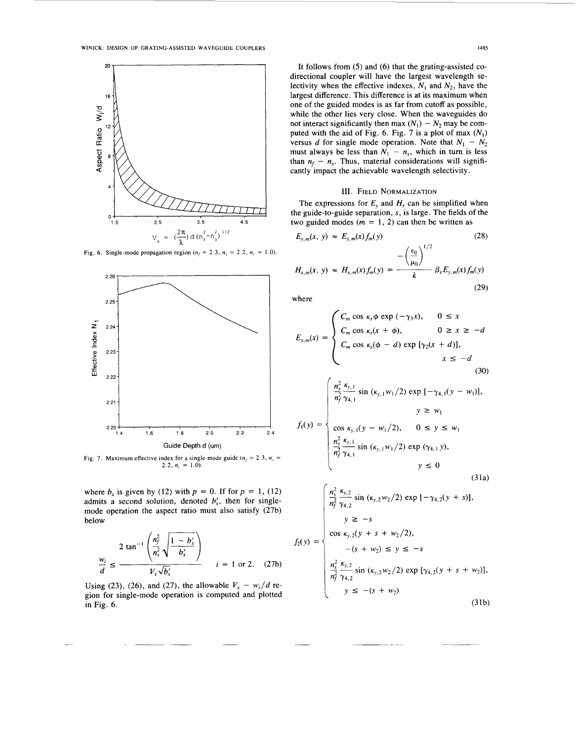

**Fig. 6. Single-mode propagation region**  $(n_f = 2.3, n_s = 2.2, n_c = 1.0)$ **.** 



**Fig. 7. Maximum effective index for a single-mode guide**  $(n_f = 2.3, n_s =$ 2.2,  $n_e = 1.0$ .

where  $b_r$  is given by (12) with  $p = 0$ . If for  $p = 1$ , (12) admits a second solution, denoted  $b'_{x}$ , then for singlemode operation the aspect ratio must also satisfy (27b) below

$$
\frac{w_i}{d} \le \frac{2 \tan^{-1} \left( \frac{n_f^2}{n_s^2} \sqrt{\frac{1 - b'_x}{b'_x}} \right)}{V_x \sqrt{b'_x}}
$$
   
  $i = 1 \text{ or } 2.$  (27b)

Using (23), (26), and (27), the allowable  $V_x - w_i/d$  region for single-mode operation is computed and plotted in Fig. **6.** 

It follows from **(5)** and **(6)** that the grating-assisted codirectional coupler will have the largest wavelength selectivity when the effective indexes,  $N_1$  and  $N_2$ , have the largest difference. This difference is at its maximum when one of the guided modes is as far from cutoff as possible, while the other lies very close. When the waveguides do not interact significantly then max  $(N_1) - N_2$  may be computed with the aid of Fig. 6. Fig. 7 is a plot of max  $(N_1)$ versus *d* for single mode operation. Note that  $N_1 - N_2$ must always be less than  $N_1 - n_s$ , which in turn is less than  $n_f - n_s$ . Thus, material considerations will significantly impact the achievable wavelength selectivity.

#### III. FIELD NORMALIZATION

The expressions for  $E_y$  and  $H_x$  can be simplified when the guide-to-guide separation, **s,** is large. The fields of the two guided modes  $(m = 1, 2)$  can then be written as

$$
E_{y,m}(x, y) \approx E_{y,m}(x) f_m(y)
$$
\n
$$
- \left(\frac{\epsilon_0}{\mu_0}\right)^{1/2}
$$
\n
$$
H_{x,m}(x, y) \approx H_{x,m}(x) f_m(y) = -\frac{\left(\frac{\epsilon_0}{\mu_0}\right)^{1/2}}{k} \beta_x E_{y,m}(x) f_m(y)
$$
\n(29)

where

$$
E_{y,m}(x) = \begin{cases} C_m \cos \kappa_x \phi \exp (-\gamma_3 x), & 0 \le x \\ C_m \cos \kappa_x (x + \phi), & 0 \ge x \ge -d \\ C_m \cos \kappa_x (\phi - d) \exp [\gamma_2 (x + d)], & x \le -d \\ \frac{n_x^2}{n_f^2} \frac{\kappa_{y,1}}{\gamma_{4,1}} \sin (\kappa_{y,1} w_1/2) \exp [-\gamma_{4,1} (y - w_1)], & y \ge w_1 \\ \cos \kappa_{y,1} (y - w_1/2), & 0 \le y \le w_1 \\ \frac{n_x^2}{n_f^2} \frac{\kappa_{y,1}}{\gamma_{4,1}} \sin (\kappa_{y,1} w_1/2) \exp (\gamma_{4,1} y), & y \le 0 \end{cases}
$$
(31a)  

$$
\left( \frac{n_x^2}{n_f^2} \frac{\kappa_{y,2}}{\gamma_{4,1}} \sin (\kappa_{y,2} w_2/2) \exp [-\gamma_{4,2} (y + s)], \right)
$$

$$
f_2(y) = \begin{cases} \frac{n_s^2}{n_f^2} \frac{\kappa_{y,2}}{\gamma_{4,2}} \sin (\kappa_{y,2} w_2/2) \exp [-\gamma_{4,2}(y+s)], \\ y \ge -s \\ \cos \kappa_{y,2}(y+s+w_2/2), \\ -(s+w_2) \le y \le -s \\ \frac{n_s^2}{n_f^2} \frac{\kappa_{y,2}}{\gamma_{4,2}} \sin (\kappa_{y,2} w_2/2) \exp [\gamma_{4,2}(y+s+w_2)], \\ y \le -(s+w_2) \end{cases}
$$
(31b)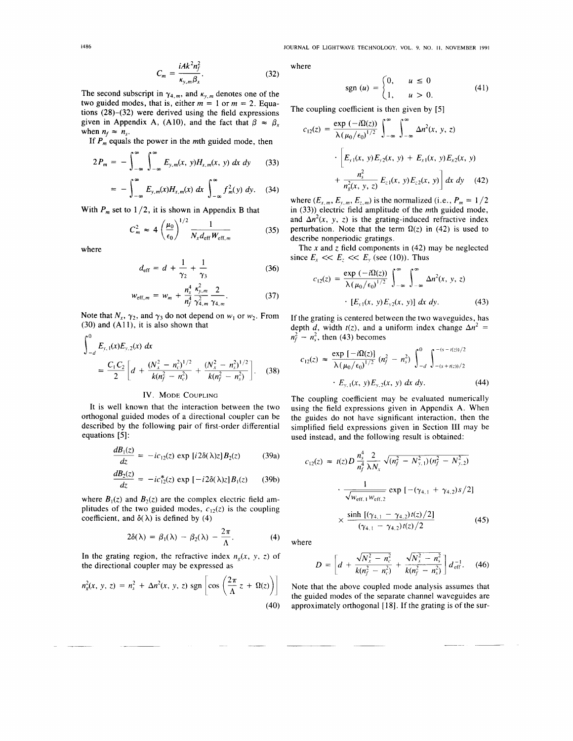$$
C_m = \frac{iAk^2n_f^2}{\kappa_{y,m}\beta_x}.
$$
 (32)

The second subscript in  $\gamma_{4,m}$ , and  $\kappa_{y,m}$  denotes one of the two guided modes, that is, either  $m = 1$  or  $m = 2$ . Equations (28)-(32) were derived using the field expressions given in Appendix A, (A10), and the fact that  $\beta \approx \beta_x$  when  $n_f \approx n_c$ .

$$
2P_m = -\int_{-\infty}^{\infty} \int_{-\infty}^{\infty} E_{y,m}(x, y) H_{x,m}(x, y) \ dx \ dy \qquad (33)
$$

$$
= -\int_{-\infty}^{\infty} E_{y,m}(x) H_{x,m}(x) \ dx \ \int_{-\infty}^{\infty} f_m^2(y) \ dy. \tag{34}
$$

With  $P_m$  set to  $1/2$ , it is shown in Appendix B that

$$
C_m^2 \approx 4 \left(\frac{\mu_0}{\epsilon_0}\right)^{1/2} \frac{1}{N_x d_{\text{eff}} W_{\text{eff},m}}
$$
 (35)

where

$$
d_{\text{eff}} = d + \frac{1}{\gamma_2} + \frac{1}{\gamma_3} \tag{36}
$$

$$
w_{\text{eff},m} = w_m + \frac{n_s^4}{n_f^4} \frac{\kappa_{y,m}^2}{\gamma_{4,m}^2} \frac{2}{\gamma_{4,m}}.
$$
 (37)

Note that  $N_x$ ,  $\gamma_2$ , and  $\gamma_3$  do not depend on  $w_1$  or  $w_2$ . From  $(30)$  and  $(A11)$ , it is also shown that

$$
\int_{-d}^{0} E_{y,1}(x)E_{y,2}(x) dx
$$
\n
$$
= \frac{C_1 C_2}{2} \left[ d + \frac{(N_x^2 - n_c^2)^{1/2}}{k(n_f^2 - n_c^2)} + \frac{(N_x^2 - n_x^2)^{1/2}}{k(n_f^2 - n_x^2)} \right].
$$
\n(38)

## IV. MODE COUPLING

It is well known that the interaction between the two orthogonal guided modes of a directional coupler can be described by the following pair of first-order differential equations [5]:

$$
\frac{dB_1(z)}{dz} = -ic_{12}(z) \exp [i2\delta(\lambda)z]B_2(z) \qquad (39a)
$$

$$
\frac{dB_2(z)}{dz} = -ic_{12}^*(z) \exp\left[-i2\delta(\lambda)z\right]B_1(z) \qquad (39b)
$$

where  $B_1(z)$  and  $B_2(z)$  are the complex electric field amplitudes of the two guided modes,  $c_{12}(z)$  is the coupling coefficient, and  $\delta(\lambda)$  is defined by (4)

$$
2\delta(\lambda) = \beta_1(\lambda) - \beta_2(\lambda) - \frac{2\pi}{\Lambda}.
$$
 (4)

In the grating region, the refractive index  $n<sub>o</sub>(x, y, z)$  of the directional coupler may be expressed as

$$
n_g^2(x, y, z) = n_s^2 + \Delta n^2(x, y, z) \operatorname{sgn} \left[ \cos \left( \frac{2\pi}{\Lambda} z + \Omega(z) \right) \right]
$$
\n(40)

 $where$ 

$$
sgn (u) = \begin{cases} 0, & u \le 0 \\ 1, & u > 0. \end{cases}
$$
 (41)

The coupling coefficient is then given by [5]

given in Appendix A, (A10), and the fact that 
$$
\beta \approx \beta_x
$$
  
\nwhen  $n_f \approx n_s$ .  
\nIf  $P_m$  equals the power in the *m*th guided mode, then  
\n
$$
2P_m = -\int_{-\infty}^{\infty} \int_{-\infty}^{\infty} E_{y,m}(x, y) H_{x,m}(x, y) dx dy
$$
\n
$$
= -\int_{-\infty}^{\infty} E_{y,m}(x) H_{x,m}(x) dx + \int_{-\infty}^{\infty} f_m^2(x, y, z) dx dy
$$
\n
$$
= -\int_{-\infty}^{\infty} E_{y,m}(x) H_{x,m}(x) dx + \int_{-\infty}^{\infty} f_m^2(x, y, z) dx dy
$$
\n
$$
= -\int_{-\infty}^{\infty} E_{y,m}(x) H_{x,m}(x) dx + \int_{-\infty}^{\infty} f_m^2(x, y, z) dx dy
$$
\n
$$
= -\int_{-\infty}^{\infty} E_{y,m}(x) H_{x,m}(x) dx + \int_{-\infty}^{\infty} f_m^2(x, y, z) dx dy
$$
\n
$$
= -\int_{-\infty}^{\infty} E_{y,m}(x) H_{x,m}(x) dx + \int_{-\infty}^{\infty} f_m^2(x, y, z) dx dy
$$
\n
$$
= -\int_{-\infty}^{\infty} E_{y,m}(x) H_{x,m}(x) dx + \int_{-\infty}^{\infty} f_m^2(x, y, z) dx dy
$$
\n
$$
= -\int_{-\infty}^{\infty} E_{y,m}(x) H_{x,m}(x) dx + \int_{-\infty}^{\infty} f_m^2(x, y, z) dx dy
$$
\n
$$
= -\int_{-\infty}^{\infty} E_{y,m}(x) H_{x,m}(x) dx + \int_{-\infty}^{\infty} f_m^2(x, y, z) dx dy
$$
\n
$$
= -\int_{-\infty}^{\infty} E_{y,m}(x) H_{x,m}(x) dx + \int_{-\infty}^{\infty} f_m^2(x, y, z) dx dy
$$
\n
$$
= -\int_{-\infty}^{\infty} E_{y,m}(x) H_{x,m}(x) dx + \int_{-\infty}^{\infty} f_m^2(x, y, z)
$$

where  $(E_{x,m}, E_{y,m}, E_{z,m})$  is the normalized (i.e.,  $P_m = 1/2$ in (33)) electric field amplitude of the mth guided mode, and  $\Delta n^2(x, y, z)$  is the grating-induced refractive index perturbation. Note that the term  $\Omega(z)$  in (42) is used to describe nonperiodic gratings.

The  $x$  and  $z$  field components in (42) may be neglected since  $E_x \ll E_z \ll E_y$  (see (10)). Thus

$$
c_{12}(z) = \frac{\exp(-i\Omega(z))}{\lambda(\mu_0/\epsilon_0)^{1/2}} \int_{-\infty}^{\infty} \int_{-\infty}^{\infty} \Delta n^2(x, y, z)
$$

$$
\cdot [E_{y1}(x, y)E_{y2}(x, y)] dx dy.
$$
 (43)

If the grating is centered between the two waveguides, has depth *d*, width  $t(z)$ , and a uniform index change  $\Delta n^2$  =  $n_f^2 - n_s^2$ , then (43) becomes

$$
c_{12}(z) \approx \frac{\exp\left[-i\Omega(z)\right]}{\lambda(\mu_0/\epsilon_0)^{1/2}} \left(n_f^2 - n_s^2\right) \int_{-d}^0 \int_{-(s+t(z))/2}^{-(s-t(z))/2} \cdot E_{y,1}(x, y) E_{y,2}(x, y) dx dy.
$$
 (44)

The coupling coefficient may be evaluated numerically using the field expressions given in Appendix A. When the guides do not have significant interaction, then the simplified field expressions given in Section III may be used instead, and the following result is obtained:

$$
c_{12}(z) \approx t(z)D \frac{n_j^4}{n_j^4} \frac{2}{\lambda N_x} \sqrt{(n_j^2 - N_{y,1}^2)(n_j^2 - N_{y,2}^2)}
$$
  

$$
\frac{1}{\sqrt{w_{\text{eff},1}w_{\text{eff},2}}} \exp\left[-(\gamma_{4,1} + \gamma_{4,2})s/2\right]
$$
  

$$
\times \frac{\sinh\left[(\gamma_{4,1} - \gamma_{4,2})t(z)/2\right]}{(\gamma_{4,1} - \gamma_{4,2})t(z)/2} \tag{45}
$$

where

$$
D = \left[d + \frac{\sqrt{N_x^2 - n_c^2}}{k(n_f^2 - n_c^2)} + \frac{\sqrt{N_x^2 - n_s^2}}{k(n_f^2 - n_s^2)}\right] d_{\text{eff}}^{-1}.
$$
 (46)

Note that the above coupled mode analysis assumes that the guided modes of the separate channel waveguides are approximately orthogonal [ 181. If the grating is of the sur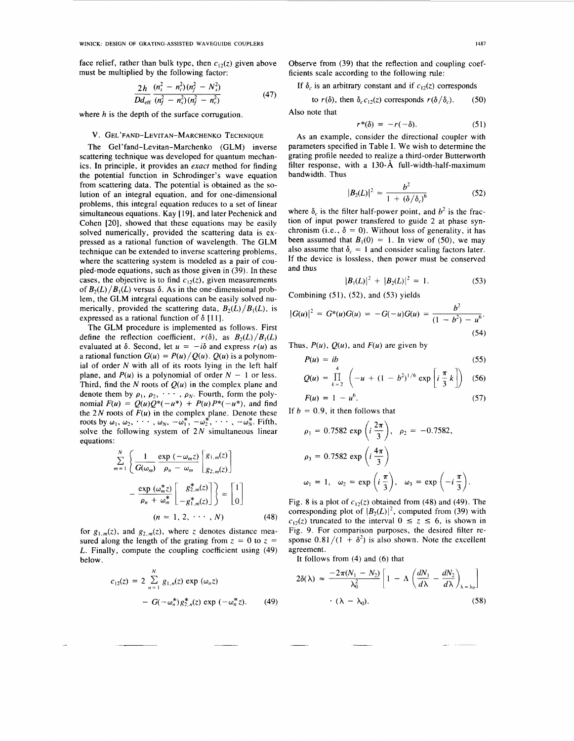<span id="page-6-0"></span>face relief, rather than bulk type, then  $c_{12}(z)$  given above must be multiplied by the following factor:

$$
\frac{2h}{Dd_{\text{eff}}} \frac{(n_s^2 - n_c^2)(n_f^2 - N_x^2)}{(n_f^2 - n_s^2)(n_f^2 - n_c^2)}
$$
(47)

where  $h$  is the depth of the surface corrugation.

## **V. GEL'FAND-LEVITAN-MARCHENKO** TECHNIQUE

The Gel'fand-Levitan-Marchenko (GLM) inverse scattering technique was developed for quantum mechanics. In principle, it provides an *exact* method for finding the potential function in Schrodinger's wave equation from scattering data. The potential is obtained as the solution of an integral equation, and for one-dimensional problems, this integral equation reduces to a set of linear simultaneous equations. Kay [19], and later Pechenick and Cohen [20], showed that these equations may be easily solved numerically, provided the scattering data is expressed as a rational function of wavelength. The GLM technique can be extended to inverse scattering problems, where the scattering system is modeled as a pair of coupled-mode equations, such as those given in (39). In these cases, the objective is to find  $c_{12}(z)$ , given measurements of  $B_2(L)/B_1(L)$  versus  $\delta$ . As in the one-dimensional problem, the GLM integral equations can be easily solved numerically, provided the scattering data,  $B_2(L)/B_1(L)$ , is expressed as a rational function of  $\delta$  [11].

The GLM procedure is implemented as follows. First define the reflection coefficient,  $r(\delta)$ , as  $B_2(L)/B_1(L)$ evaluated at  $\delta$ . Second, let  $u = -i\delta$  and express  $r(u)$  as a rational function  $G(u) = P(u)/Q(u)$ .  $Q(u)$  is a polynomial of order *N* with all of its roots lying in the left half plane, and  $P(u)$  is a polynomial of order  $N - 1$  or less. Third, find the *N* roots of  $Q(u)$  in the complex plane and denote them by  $\rho_1$ ,  $\rho_2$ ,  $\cdots$ ,  $\rho_N$ . Fourth, form the polynomial  $F(u) = Q(u)Q^*(-u^*) + P(u)P^*(-u^*)$ , and find the  $2N$  roots of  $F(u)$  in the complex plane. Denote these roots by  $\omega_1, \omega_2, \cdots, \omega_N, -\omega_1^*, -\omega_2^*, \cdots, -\omega_N^*$ . Fifth, solve the following system of  $2N$  simultaneous linear equations:

$$
\sum_{m=1}^{N} \left\{ \frac{1}{G(\omega_m)} \frac{\exp(-\omega_m z)}{\rho_n - \omega_m} \begin{bmatrix} g_{1,m}(z) \\ g_{2,m}(z) \end{bmatrix} - \frac{\exp(\omega_m^* z)}{\rho_n + \omega_m^*} \begin{bmatrix} g_{2,m}^*(z) \\ -g_{1,m}^*(z) \end{bmatrix} \right\} = \begin{bmatrix} 1 \\ 0 \end{bmatrix}
$$
\n
$$
(n = 1, 2, \cdots, N)
$$
\n(48)

for  $g_{1,m}(z)$ , and  $g_{2,m}(z)$ , where z denotes distance measured along the length of the grating from  $z = 0$  to  $z =$ *L.* Finally, compute the coupling coefficient using (49) below.

$$
c_{12}(z) = 2 \sum_{n=1}^{N} g_{1,n}(z) \exp (\omega_n z)
$$
  
-  $G(-\omega_n^*) g_{2,n}^*(z) \exp (-\omega_n^* z).$  (49)

Observe from (39) that the reflection and coupling coefficients scale according to the following rule:

If  $\delta_c$  is an arbitrary constant and if  $c_{12}(z)$  corresponds

to 
$$
r(\delta)
$$
, then  $\delta_c c_{12}(z)$  corresponds  $r(\delta/\delta_c)$ . (50)

**Also** note that

$$
r^*(\delta) = -r(-\delta). \tag{51}
$$

**As** an example, consider the directional coupler with parameters specified in Table I. We wish to determine the grating profile needed to realize a third-order Butterworth filter response, with a  $130-\text{\AA}$  full-width-half-maximum bandwidth. Thus

$$
|B_2(L)|^2 = \frac{b^2}{1 + (\delta/\delta_c)^6}
$$
 (52)

where  $\delta_c$  is the filter half-power point, and  $b^2$  is the fraction of input power transfered to guide 2 at phase synchronism (i.e.,  $\delta = 0$ ). Without loss of generality, it has been assumed that  $B_1(0) = 1$ . In view of (50), we may also assume that  $\delta_c = 1$  and consider scaling factors later. If the device is lossless, then power must be conserved and thus

$$
|B_1(L)|^2 + |B_2(L)|^2 = 1. \tag{53}
$$

Combining  $(51)$ ,  $(52)$ , and  $(53)$  yields

$$
G(u)|^{2} = G^{*}(u)G(u) = -G(-u)G(u) = \frac{b^{2}}{(1 - b^{2}) - u^{6}}.
$$
\n(54)

Thus,  $P(u)$ ,  $Q(u)$ , and  $F(u)$  are given by

$$
P(u) = ib \tag{55}
$$

$$
Q(u) = \prod_{k=2} \left( -u + (1-b^2)^{1/6} \exp \left[ i \frac{\pi}{3} k \right] \right) (56)
$$

$$
F(u) = 1 - u^6.
$$
 (57)

If 
$$
b = 0.9
$$
, it then follows that  
\n
$$
\rho_1 = 0.7582 \exp\left(i\frac{2\pi}{3}\right), \quad \rho_2 = -0.7582,
$$
\n
$$
\rho_3 = 0.7582 \exp\left(i\frac{4\pi}{3}\right)
$$
\n
$$
\omega_1 = 1, \quad \omega_2 = \exp\left(i\frac{\pi}{3}\right), \quad \omega_3 = \exp\left(-i\frac{\pi}{3}\right).
$$

Fig. 8 is a plot of  $c_{12}(z)$  obtained from (48) and (49). The corresponding plot of  $|B_2(L)|^2$ , computed from (39) with  $c_{12}(z)$  truncated to the interval  $0 \le z \le 6$ , is shown in Fig. 9. For comparison purposes, the desired filter response  $0.81/(1 + \delta^2)$  is also shown. Note the excellent agreement.

It follows from (4) and **(6)** that

$$
2\delta(\lambda) \approx \frac{-2\pi(N_1 - N_2)}{\lambda_0^2} \left[ 1 - \Lambda \left( \frac{dN_1}{d\lambda} - \frac{dN_2}{d\lambda} \right)_{\lambda = \lambda_0} \right]
$$
  
 
$$
\cdot (\lambda - \lambda_0). \tag{58}
$$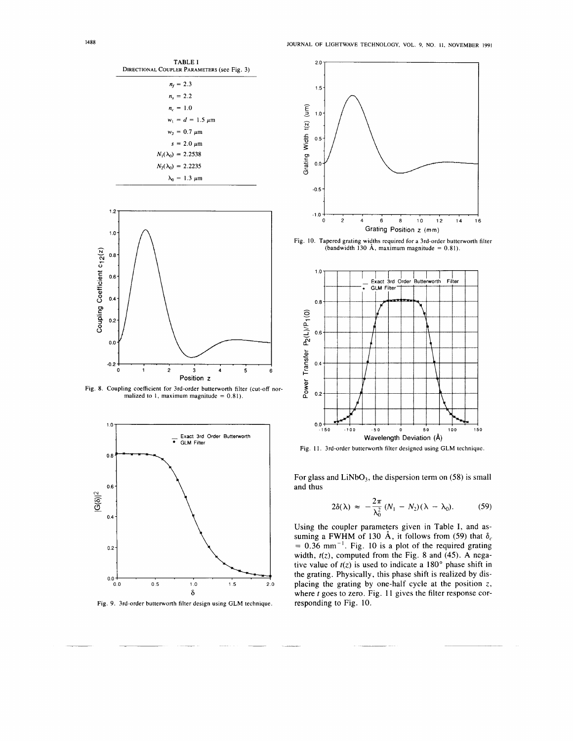| <b>TABLE I</b><br>DIRECTIONAL COUPLER PARAMETERS (see Fig. 3) |  |
|---------------------------------------------------------------|--|
| $n_f = 2.3$                                                   |  |
| $n_{\rm s} = 2.2$                                             |  |
| $n_c = 1.0$                                                   |  |
| $w_1 = d = 1.5 \text{ }\mu\text{m}$                           |  |
| $w_2 = 0.7 \mu m$                                             |  |
| $s = 2.0 \mu m$                                               |  |
| $N_1(\lambda_0) = 2.2538$                                     |  |
| $N_2(\lambda_0) = 2.2235$                                     |  |
| $\lambda_0 = 1.3 \mu m$                                       |  |



[Fig.](#page-6-0) 8. Coupling coefficient for 3rd-order butterworth filter (cut-off normalized to 1, maximum magnitude =  $0.81$ ).



[Fig.](#page-6-0) 9. 3rd-order butterworth filter design using GLM technique.



Fig. 10. Tapered grating widths required for a 3rd-order butterworth filter (bandwidth 130 Å, maximum magnitude = 0.81).



Fig. **11.** 3rd-order butterworth filter designed using GLM technique.

For glass and  $LiNbO<sub>3</sub>$ , the dispersion term on (58) is small and thus

$$
2\delta(\lambda) \approx -\frac{2\pi}{\lambda_0^2} (N_1 - N_2)(\lambda - \lambda_0). \tag{59}
$$

Using the coupler parameters given in Table I, and assuming a FWHM of 130 Å, it follows from (59) that  $\delta_c$ .  $= 0.36$  mm<sup>-1</sup>. Fig. 10 is a plot of the required grating width, *r(z),* computed from the [Fig. 8](#page-6-0) and **(45). A** negative value of  $t(z)$  is used to indicate a 180° phase shift in the grating. Physically, this phase shift is realized by displacing the grating by one-half cycle at the position *z,*  where *t* goes to zero. Fig. 11 gives the filter response corresponding to Fig. 10.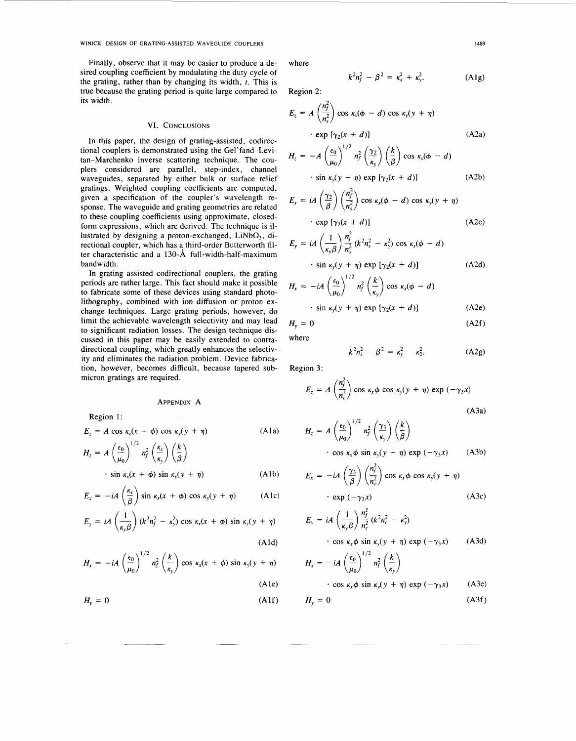Finally, observe that it may be easier to produce a desired coupling coefficient by modulating the duty cycle of the grating, rather than by changing its width,  $t$ . This is true because the grating period is quite large compared to its width.

## VI. CONCLUSIONS

In this paper, the design of grating-assisted, codirectional couplers is demonstrated using the Gel'fand-levitan-Marchenko inverse scattering technique. The couplers considered are parallel, step-index, channel waveguides, separated by either bulk or surface relief gratings. Weighted coupling coefficients are computed, given a specification of the coupler's wavelength response. The waveguide and grating geometries are related to these coupling coefficients using approximate, closedform expressions, which are derived. The technique is illustrated by designing a proton-exchanged,  $LiNbO<sub>3</sub>$ , directional coupler, which has a third-order Butterworth filter characteristic and a 130-A full-width-half-maximum bandwidth.

In grating assisted codirectional couplers, the grating periods are rather large. This fact should make it possible to fabricate some of these devices using standard photolithography, combined with ion diffusion or proton exchange techniques. Large grating periods, however, do limit the achievable wavelength selectivity and may lead to significant radiation losses. The design technique discussed in this paper may be easily extended to contradirectional coupling, which greatly enhances the selectivity and eliminates the radiation problem. Device fabrication, however, becomes difficult, because tapered submicron gratings are required.

#### APPENDIX **A**

Region 1:

$$
E_z = A \cos \kappa_x (x + \phi) \cos \kappa_y (y + \eta) \tag{A1a}
$$

$$
H_z = A \left(\frac{\epsilon_0}{\mu_0}\right)^{1/2} n_f^2 \left(\frac{\kappa_x}{\kappa_y}\right) \left(\frac{k}{\beta}\right)
$$
  
 
$$
\cdot \sin \kappa_x(x + \phi) \sin \kappa_x(y + \eta)
$$
 (Alb)

$$
E_x = -iA\left(\frac{\kappa_x}{\beta}\right)\sin \kappa_x(x + \phi)\cos \kappa_y(y + \eta) \tag{A1c}
$$

$$
E_y = iA\left(\frac{1}{\kappa_y\beta}\right)(k^2n_f^2 - \kappa_y^2)\cos\kappa_x(x + \phi)\sin\kappa_y(y + \eta)
$$

$$
(A1d)
$$

$$
H_x = -iA \left(\frac{\epsilon_0}{\mu_0}\right)^{1/2} n_f^2 \left(\frac{k}{\kappa_y}\right) \cos \kappa_x(x + \phi) \sin \kappa_y(y + \eta) \qquad H_x = -iA \left(\frac{\epsilon_0}{\mu_0}\right)^{1/2} n_f^2 \left(\frac{k}{\kappa_y}\right)
$$

$$
(A1e)
$$

$$
H_y = 0 \tag{A3f}
$$

where

$$
k^2 n_f^2 - \beta^2 = \kappa_x^2 + \kappa_y^2.
$$
 (A1g)

Region 2:

$$
E_z = A \left(\frac{n_f^2}{n_s^2}\right) \cos \kappa_x (\phi - d) \cos \kappa_y (y + \eta)
$$
  
exp  $\left[\gamma_2 (x + d)\right]$  (A2a)

$$
H_z = -A \left(\frac{\epsilon_0}{\mu_0}\right)^{1/2} n_f^2 \left(\frac{\gamma_2}{\kappa_y}\right) \left(\frac{k}{\beta}\right) \cos \kappa_x (\phi - d)
$$
  
• sin  $\kappa_y (y + \eta) \exp [\gamma_2 (x + d)]$  (A2b)

$$
E_x = iA\left(\frac{\gamma_2}{\beta}\right)\left(\frac{n_f^2}{n_s^2}\right)\cos\kappa_x(\phi - d)\cos\kappa_y(y + \eta)
$$
  
•  $\exp\left[\gamma_2(x + d)\right]$  (A2c)

$$
E_y = iA \left(\frac{1}{\kappa_y \beta}\right) \frac{n_f^2}{n_s^2} (k^2 n_s^2 - \kappa_y^2) \cos \kappa_x (\phi - d)
$$
  
: sin  $\kappa$  (*y + n*) exp [ $\gamma_y$ (*x + d*)] (A2d)

$$
sin \, \theta_0 \sqrt{\frac{40}{2}} \, \frac{1}{2} \, \frac{1}{2} \, k \, \frac{1}{2} \cos \, \theta_0 \, (\frac{1}{2} \, \frac{1}{2})
$$

$$
H_x = -iA \left(\frac{\epsilon_0}{\mu_0}\right)^{1/2} n_f^2 \left(\frac{k}{\kappa_y}\right) \cos \kappa_x (\phi - d)
$$
  
: sin  $\kappa_x (\nu + n) \exp \left[\gamma_0 (x + d)\right]$  (A2e)

$$
= 0
$$
 (A2f)

 $H_v = 0$ 

where

$$
k^{2}n_{s}^{2} - \beta^{2} = \kappa_{v}^{2} - \kappa_{2}^{2}.
$$
 (A2g)

Region 3:

$$
E_z = A \left(\frac{n_f^2}{n_c^2}\right) \cos \kappa_x \phi \cos \kappa_y (y + \eta) \exp (-\gamma_3 x)
$$
\n(A3a)

$$
H_z = A \left(\frac{\epsilon_0}{\mu_0}\right)^{1/2} n_f^2 \left(\frac{\gamma_3}{\kappa_y}\right) \left(\frac{k}{\beta}\right)
$$
  
 
$$
\cos \kappa_x \phi \sin \kappa_y (y + \eta) \exp (-\gamma_3 x) \qquad (A3b)
$$

$$
E_x = -iA\left(\frac{\gamma_3}{\beta}\right)\left(\frac{n_j^2}{n_c^2}\right)\cos\kappa_x\phi\cos\kappa_y(y+\eta)
$$
  
 
$$
\cdot\exp\left(-\gamma_3x\right) \qquad (A3c)
$$

$$
+ \eta) \qquad E_y = iA \left(\frac{1}{\kappa_y \beta}\right) \frac{n_f^2}{n_c^2} (k^2 n_c^2 - \kappa_y^2)
$$
\n
$$
\cdot \cos \kappa_x \phi \sin \kappa_y (y + \eta) \exp (-\gamma_3 x) \qquad (A3d)
$$

$$
H_x = -iA \left(\frac{\epsilon_0}{\mu_0}\right)^{1/2} n_f^2 \left(\frac{k}{\kappa_y}\right)
$$
  

$$
i.225 \times \phi \sin \phi (\omega + \pi) \exp \left(-\phi (\omega) \right)
$$
 (43e)

$$
(A1e) \t\t cos \kappa_x \phi \sin \kappa_y (y + \eta) \exp (-\gamma_3 x) \t (A3e)
$$

$$
H_{y} = 0 \tag{A3f}
$$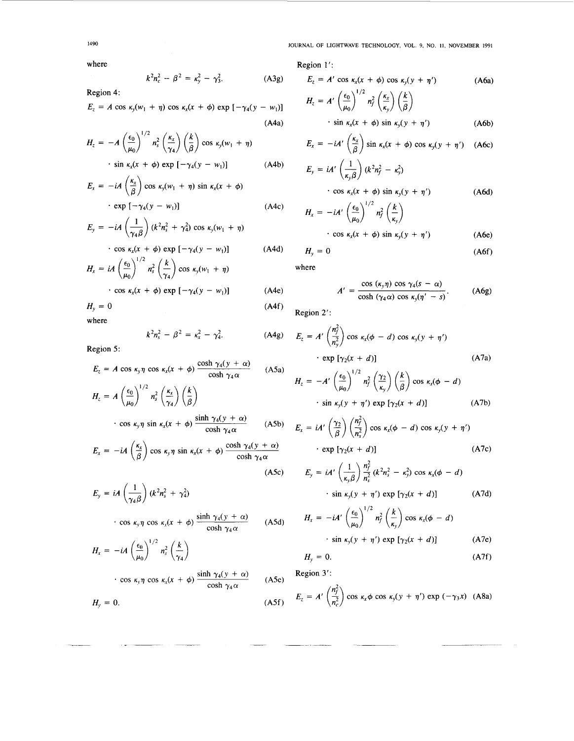JOURNAL OF LIGHTWAVE TECHNOLOGY, VOL. 9, NO. **11,** NOVEMBER **1991 1490** 

where

$$
k^2 n_c^2 - \beta^2 = \kappa_y^2 - \gamma_3^2. \tag{A3g}
$$

Region **4:** 

 $E_z = A \cos \kappa_y(w_1 + \eta) \cos \kappa_x(x + \phi) \exp \left[ -\gamma_4(y - w_1) \right]$ (A4a)

$$
H_z = -A \left(\frac{\epsilon_0}{\mu_0}\right)^{1/2} n_s^2 \left(\frac{\kappa_x}{\gamma_4}\right) \left(\frac{k}{\beta}\right) \cos \kappa_y (w_1 + \eta)
$$
  
 
$$
\cdot \sin \kappa_x (x + \phi) \exp \left[-\gamma_4 (y - w_1)\right]
$$
 (A4b)

$$
E_x = -iA \left(\frac{\kappa_x}{\beta}\right) \cos \kappa_y (w_1 + \eta) \sin \kappa_x (x + \phi)
$$
  
 
$$
\cdot \exp \left[ -\gamma_4 (y - w_1) \right]
$$
 (A4c)

$$
E_y = -iA\left(\frac{1}{\gamma_4\beta}\right)(k^2n_s^2 + \gamma_4^2)\cos\kappa_y(w_1 + \eta)
$$

$$
\cos \kappa_x (x + \phi) \exp \left[ -\gamma_4 (y - w_1) \right]
$$
 (A4d)  

$$
H_x = iA \left( \frac{\epsilon_0}{\mu_0} \right)^{1/2} n_s^2 \left( \frac{k}{\gamma_4} \right) \cos \kappa_y (w_1 + \eta)
$$

$$
\cos \kappa_x(x + \phi) \exp \left[ -\gamma_4(y - w_1) \right]
$$
 (A4e)  
= 0 (A4f)

 $H_y = 0$ 

where

$$
k^2 n_s^2 - \beta^2 = \kappa_x^2 - \gamma_4^2. \tag{A4g}
$$

Region 5:

$$
E_z = A \cos \kappa_y \eta \cos \kappa_x (x + \phi) \frac{\cosh \gamma_4 (y + \alpha)}{\cosh \gamma_4 \alpha} \qquad (A5a)
$$

$$
H_z = A \left(\frac{\epsilon_0}{\mu_0}\right)^{1/2} n_s^2 \left(\frac{\kappa_x}{\gamma_4}\right) \left(\frac{k}{\beta}\right)
$$
  
 
$$
\cdot \cos \kappa_y \eta \sin \kappa_x (x + \phi) \frac{\sinh \gamma_4 (y + \alpha)}{\cosh \gamma_4 \alpha} \qquad (A5b)
$$
  

$$
E_x = -iA \left(\frac{\kappa_x}{\beta}\right) \cos \kappa_y \eta \sin \kappa_x (x + \phi) \frac{\cosh \gamma_4 (y + \alpha)}{\cosh \gamma_4 \alpha}
$$

$$
(A5c)
$$

$$
E_y = iA\left(\frac{1}{\gamma_4\beta}\right)(k^2n_s^2 + \gamma_4^2)
$$
  
 
$$
\cdot \cos \kappa_y \eta \cos \kappa_x(x + \phi) \frac{\sinh \gamma_4(y + \alpha)}{\cosh \gamma_4\alpha}
$$
  
 
$$
(A5d) \qquad H_x = -iA'\left(\frac{\epsilon_0}{\mu_0}\right)^{1/2}n_f^2\left(\frac{k}{\kappa_y}\right)\cos \kappa_x(\phi - d)
$$
  
 
$$
\cdot \sin \kappa_y(y + \eta') \exp \left[\gamma_2(x + d)\right]
$$
  
 
$$
\cdot \sin \kappa_y(y + \eta') \exp \left[\gamma_2(x + d)\right]
$$

$$
H_x = -iA \left(\frac{\epsilon_0}{\mu_0}\right)^{1/2} n_s^2 \left(\frac{k}{\gamma_4}\right)
$$
  
 
$$
\cdot \cos \kappa_y \eta \cos \kappa_x (x + \phi) \frac{\sinh \gamma_4 (y + \alpha)}{\cosh \gamma_4 \alpha}
$$
 (A5e)  

$$
H_y = 0.
$$
 (A5f)

Region 1':

$$
E_z = A' \cos \kappa_x (x + \phi) \cos \kappa_y (y + \eta')
$$
 (A6a)  

$$
H_z = A' \left(\frac{\epsilon_0}{\mu_0}\right)^{1/2} n_f^2 \left(\frac{\kappa_x}{\kappa_y}\right) \left(\frac{k}{\beta}\right)
$$
  

$$
\cdot \sin \kappa_x (x + \phi) \sin \kappa_y (y + \eta')
$$
 (A6b)

$$
E_x = -iA' \left(\frac{\kappa_x}{\beta}\right) \sin \kappa_x (x + \phi) \cos \kappa_y (y + \eta') \quad \text{(A6c)}
$$

$$
E_y = iA' \left(\frac{1}{\kappa_y \beta}\right) (k^2 n_f^2 - \kappa_y^2)
$$
  
 
$$
\cos \kappa_x (x + \phi) \sin \kappa_y (y + \eta')
$$
 (A6d)

$$
H_x = -iA' \left(\frac{\epsilon_0}{\mu_0}\right)^{1/2} n_f^2 \left(\frac{k}{\kappa_y}\right)
$$

$$
\cdot \cos \kappa_x(x + \phi) \sin \kappa_y(y + \eta') \tag{A6e}
$$

$$
H_{y} = 0 \tag{A6f}
$$

where

$$
A' = \frac{\cos{(\kappa_y \eta)} \cos{\gamma_4 (s - \alpha)}}{\cosh{(\gamma_4 \alpha)} \cos{\kappa_y (\eta' - s)}}.
$$
 (A6g)

Region 2':

$$
E_z = A' \left(\frac{n_f^2}{n_y^2}\right) \cos \kappa_x (\phi - d) \cos \kappa_y (y + \eta') \cdot \exp \left[\gamma_2 (x + d)\right] \tag{A7a}
$$

$$
H_z = -A' \left(\frac{\epsilon_0}{\mu_0}\right)^{1/2} n_f^2 \left(\frac{\gamma_2}{\kappa_y}\right) \left(\frac{k}{\beta}\right) \cos \kappa_x (\phi - d)
$$
  
 
$$
\cdot \sin \kappa_y (y + \eta') \exp [\gamma_2 (x + d)] \qquad (A7b)
$$

$$
E_x = iA' \left(\frac{\gamma_2}{\beta}\right) \left(\frac{n_f^2}{n_s^2}\right) \cos \kappa_x(\phi - d) \cos \kappa_y(y + \eta')
$$
  
 
$$
\cdot \exp \left[\gamma_2(x + d)\right]
$$
 (A7c)

$$
E_y = iA' \left(\frac{1}{\kappa_y \beta}\right) \frac{n_f^2}{n_s^2} (k^2 n_s^2 - \kappa_y^2) \cos \kappa_x (\phi - d)
$$
  
 
$$
\cdot \sin \kappa_y (y + \eta') \exp \left[\gamma_2 (x + d)\right]
$$
 (A7d)

$$
H_x = -iA' \left(\frac{\epsilon_0}{\mu_0}\right)^{1/2} n_f^2 \left(\frac{k}{\kappa_y}\right) \cos \kappa_x(\phi - d)
$$
  
 
$$
\cdot \sin \kappa_y(y + \eta') \exp \left[\gamma_2(x + d)\right]
$$
 (A7e)

$$
H_{y} = 0. \tag{A7f}
$$

Region 3':

$$
E_z = A' \left(\frac{n_f^2}{n_c^2}\right) \cos \kappa_x \phi \cos \kappa_y (y + \eta') \exp \left(-\gamma_3 x\right) \tag{A8a}
$$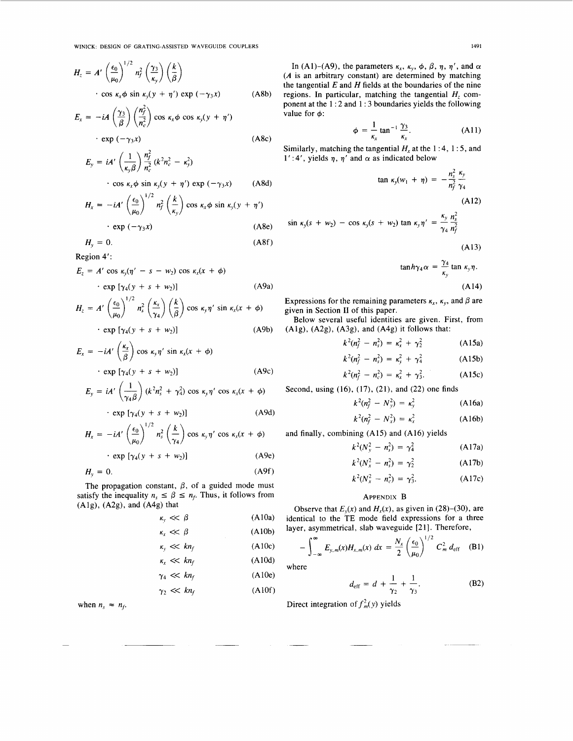$$
H_z = A' \left(\frac{\epsilon_0}{\mu_0}\right)^{1/2} n_f^2 \left(\frac{\gamma_3}{\kappa_y}\right) \left(\frac{k}{\beta}\right)
$$
  
 
$$
\cos \kappa_x \phi \sin \kappa_y (y + \eta') \exp (-\gamma_3 x)
$$
 (A8b)

$$
E_x = -iA\left(\frac{\gamma_3}{\beta}\right)\left(\frac{n_f^2}{n_c^2}\right)\cos\kappa_x\phi\cos\kappa_y(y+\eta')
$$

$$
\cdot \exp(-\gamma_3 x)
$$

 $(ABC)$ 

$$
E_y = iA' \left(\frac{1}{\kappa_y \beta}\right) \frac{n_f^2}{n_c^2} (k^2 n_c^2 - \kappa_y^2)
$$

$$
\cdot \cos \kappa_x \phi \sin \kappa_y (y + \eta') \exp (-\gamma_3 x) \qquad \text{(A8d)}
$$

$$
H_x = -iA' \left(\frac{\epsilon_0}{\mu_0}\right)^{1/2} n_f^2 \left(\frac{k}{\kappa_y}\right) \cos \kappa_x \phi \sin \kappa_y (y + \eta')
$$
  
exp  $(-\gamma_3 x)$  (A8e)

$$
H_{v} = 0. \tag{A8f}
$$

Region 4':

$$
E_z = A' \cos \kappa_y (\eta' - s - w_2) \cos \kappa_x (x + \phi)
$$
  
\n
$$
\cdot \exp [\gamma_4 (y + s + w_2)]
$$
 (A9a)

$$
H_z = A' \left(\frac{\epsilon_0}{\mu_0}\right)^{1/2} n_s^2 \left(\frac{\kappa_x}{\gamma_4}\right) \left(\frac{k}{\beta}\right) \cos \kappa_y \eta' \sin \kappa_x (x + \phi)
$$
  
exp  $\left[\gamma_4 (y + s + w_2)\right]$  (A9b)

$$
E_x = -iA' \left(\frac{\kappa_x}{\beta}\right) \cos \kappa_y \eta' \sin \kappa_x (x + \phi)
$$

$$
\cdot \exp\left[\gamma_4(y+s+w_2)\right] \tag{A9c}
$$

$$
E_y = iA' \left(\frac{1}{\gamma_4 \beta}\right) (k^2 n_s^2 + \gamma_4^2) \cos \kappa_y \eta' \cos \kappa_x (x + \phi)
$$

$$
\exp\left[\gamma_4(y+s+w_2)\right] \tag{A9d}
$$

$$
H_x = -iA' \left(\frac{\epsilon_0}{\mu_0}\right)^{1/2} n_s^2 \left(\frac{k}{\gamma_4}\right) \cos \kappa_y \eta' \cos \kappa_x (x + \phi)
$$

$$
\cdot \exp\left[\gamma_4(y+s+w_2)\right] \tag{A9e}
$$

$$
H_{y} = 0. \tag{A9f}
$$

The propagation constant,  $\beta$ , of a guided mode must *H<sub>y</sub>* = 0. (A9f)<br>
The propagation constant,  $\beta$ , of a guided mode must<br>
satisfy the inequality  $n_s \le \beta \le n_f$ . Thus, it follows from<br>
(A1c) (A2c) and (A4c) that (Alg), (A2g), and (A4g) that

$$
\kappa_{y} \ll \beta \tag{A10a}
$$
\n
$$
y \ll \beta \tag{A10b}
$$

$$
k_x \ll \rho \tag{A100}
$$
\n
$$
k_x \ll kn, \tag{A10c}
$$

$$
\kappa_{y} \ll \kappa n_{f} \tag{A10C}
$$

$$
\kappa_x \ll k n_f \tag{A10d}
$$
\n
$$
\kappa_x \ll k n \tag{A10e}
$$

$$
\gamma_4 \ll \kappa n_f \tag{A10c}
$$

$$
\gamma_2 \ll k n_f \tag{A10f}
$$

In (A1)–(A9), the parameters  $\kappa_x$ ,  $\kappa_y$ ,  $\phi$ ,  $\beta$ ,  $\eta$ ,  $\eta'$ , and  $\alpha$ *(A* is an arbitrary constant) are determined by matching the tangential  $E$  and  $H$  fields at the boundaries of the nine regions. In particular, matching the tangential *H,* component at the 1 : 2 and 1 : 3 boundaries yields the following value for  $\phi$ :

$$
\phi = \frac{1}{\kappa_x} \tan^{-1} \frac{\gamma_3}{\kappa_x}.
$$
 (A11)

Similarly, matching the tangential  $H_r$  at the 1:4, 1:5, and  $1'$  : 4', yields  $\eta$ ,  $\eta'$  and  $\alpha$  as indicated below

$$
\tan \kappa_y(w_1 + \eta) = -\frac{n_s^2}{n_f^2} \frac{\kappa_y}{\gamma_4}
$$

 $(A12)$ 

$$
\sin \kappa_y (s + w_2) - \cos \kappa_y (s + w_2) \tan \kappa_y \eta' = \frac{\kappa_y}{\gamma_4} \frac{n_s^2}{n_f^2}
$$

$$
(A13)
$$

$$
\tan h\gamma_4 \alpha = \frac{\gamma_4}{\kappa_y} \tan \kappa_y \eta.
$$
\n(A14)

Expressions for the remaining parameters  $\kappa_x$ ,  $\kappa_y$ , and  $\beta$  are given in Section I1 of this paper.

Below several useful identities are given. First, from (Alg), (A2g), (A3g), and (A4g) it follows that:

$$
k^{2}(n_{f}^{2} - n_{s}^{2}) = \kappa_{x}^{2} + \gamma_{2}^{2}
$$
 (A15a)

$$
k^2(n_f^2 - n_s^2) = \kappa_y^2 + \gamma_4^2
$$
 (A15b)

$$
k^{2}(n_{f}^{2} - n_{c}^{2}) = \kappa_{x}^{2} + \gamma_{3}^{2}.
$$
 (A15c)

Second, using (16), (17), (21), and (22) one finds<br> $k^2(n_f^2 - N_y^2) = \kappa_y^2$ 

$$
x^2(n_f^2 - N_y^2) = \kappa_y^2
$$
 (A16a)

$$
k^{2}(n_{f}^{2} - N_{x}^{2}) = \kappa_{x}^{2}
$$
 (A16b)

and finally, combining (A15) and (A16) yields

$$
k^2(N_y^2 - n_s^2) = \gamma_4^2
$$
 (A17a)

$$
k^2(N_x^2 - n_s^2) = \gamma_2^2
$$
 (A17b)

$$
k^2(N_x^2 - n_c^2) = \gamma_3^2.
$$
 (A17c)

# APPENDIX B

Observe that  $E<sub>v</sub>(x)$  and  $H<sub>v</sub>(x)$ , as given in (28)–(30), are identical to the TE mode field expressions for a three layer, asymmetrical, slab waveguide [21]. Therefore,

$$
-\int_{-\infty}^{\infty} E_{y,m}(x) H_{x,m}(x) \ dx = \frac{N_x}{2} \left(\frac{\epsilon_0}{\mu_0}\right)^{1/2} C_m^2 d_{\text{eff}} \quad (B1)
$$

where

$$
d_{\text{eff}} = d + \frac{1}{\gamma_2} + \frac{1}{\gamma_3}.
$$
 (B2)

Direct integration of  $f_m^2(y)$  yields

when  $n_s \approx n_f$ .